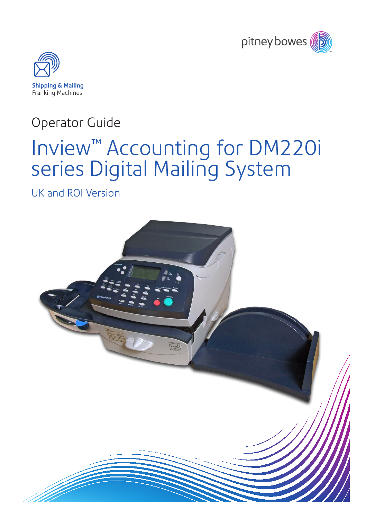



# Operator Guide

# Inview™ Accounting for DM220i series Digital Mailing System

UK and ROI Version

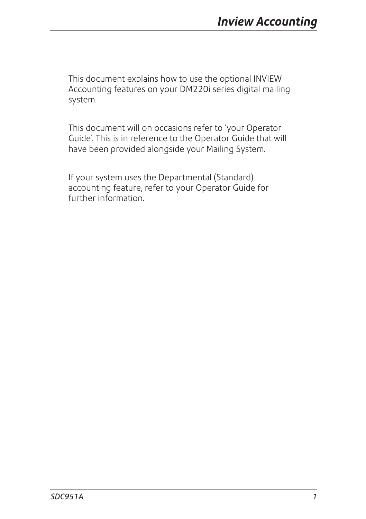This document explains how to use the optional INVIEW Accounting features on your DM220i series digital mailing system.

This document will on occasions refer to 'your Operator Guide'. This is in reference to the Operator Guide that will have been provided alongside your Mailing System.

If your system uses the Departmental (Standard) accounting feature, refer to your Operator Guide for further information.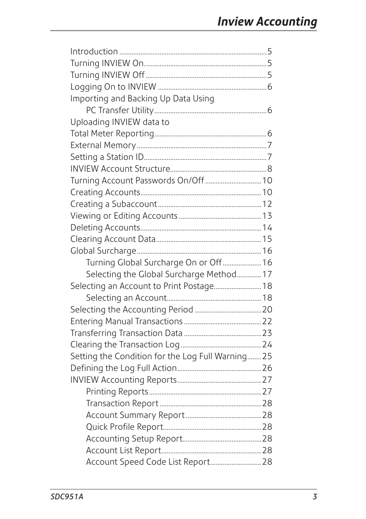| Importing and Backing Up Data Using               |
|---------------------------------------------------|
|                                                   |
| Uploading INVIEW data to                          |
|                                                   |
|                                                   |
|                                                   |
|                                                   |
|                                                   |
|                                                   |
|                                                   |
|                                                   |
|                                                   |
|                                                   |
|                                                   |
| Turning Global Surcharge On or Off  16            |
| Selecting the Global Surcharge Method 17          |
| Selecting an Account to Print Postage 18          |
|                                                   |
|                                                   |
|                                                   |
|                                                   |
|                                                   |
| Setting the Condition for the Log Full Warning 25 |
|                                                   |
|                                                   |
|                                                   |
|                                                   |
|                                                   |
|                                                   |
|                                                   |
|                                                   |
| Account Speed Code List Report 28                 |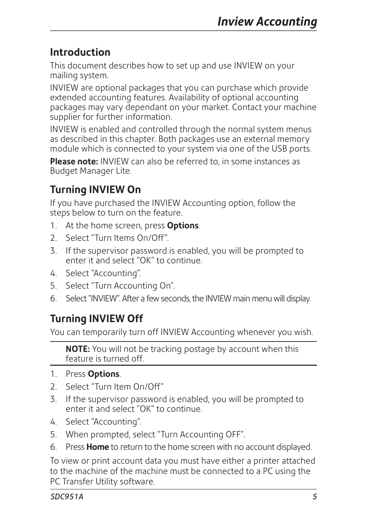# **Introduction**

This document describes how to set up and use INVIEW on your mailing system.

INVIEW are optional packages that you can purchase which provide extended accounting features. Availability of optional accounting packages may vary dependant on your market. Contact your machine supplier for further information.

INVIEW is enabled and controlled through the normal system menus as described in this chapter. Both packages use an external memory module which is connected to your system via one of the USB ports.

**Please note:** INVIEW can also be referred to, in some instances as Budget Manager Lite.

# **Turning INVIEW On**

If you have purchased the INVIEW Accounting option, follow the steps below to turn on the feature.

- 1. At the home screen, press **Options**.
- 2. Select "Turn Items On/Off".
- 3. If the supervisor password is enabled, you will be prompted to enter it and select "OK" to continue.
- 4. Select "Accounting".
- 5. Select "Turn Accounting On".
- 6. Select "INVIEW". After a few seconds, the INVIEW main menu will display.

# **Turning INVIEW Off**

You can temporarily turn off INVIEW Accounting whenever you wish.

**NOTE:** You will not be tracking postage by account when this feature is turned off.

- 1. Press **Options**.
- 2. Select "Turn Item On/Off"
- 3. If the supervisor password is enabled, you will be prompted to enter it and select "OK" to continue.
- 4. Select "Accounting".
- 5. When prompted, select "Turn Accounting OFF".
- 6. Press **Home** to return to the home screen with no account displayed.

To view or print account data you must have either a printer attached to the machine of the machine must be connected to a PC using the PC Transfer Utility software.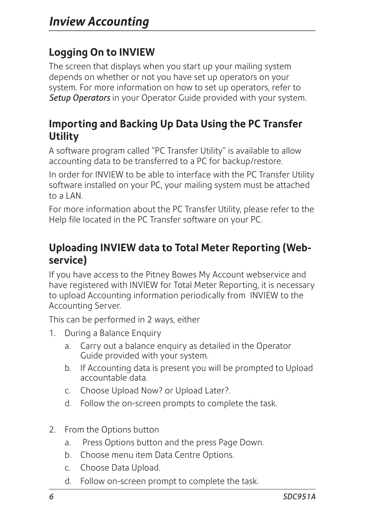# **Logging On to INVIEW**

The screen that displays when you start up your mailing system depends on whether or not you have set up operators on your system. For more information on how to set up operators, refer to *Setup Operators* in your Operator Guide provided with your system.

# **Importing and Backing Up Data Using the PC Transfer Utility**

A software program called "PC Transfer Utility" is available to allow accounting data to be transferred to a PC for backup/restore.

In order for INVIEW to be able to interface with the PC Transfer Utility software installed on your PC, your mailing system must be attached to a  $\overline{I}$  AN.

For more information about the PC Transfer Utility, please refer to the Help file located in the PC Transfer software on your PC.

# **Uploading INVIEW data to Total Meter Reporting (Webservice)**

If you have access to the Pitney Bowes My Account webservice and have registered with INVIEW for Total Meter Reporting, it is necessary to upload Accounting information periodically from INVIEW to the Accounting Server.

This can be performed in 2 ways, either

- 1. During a Balance Enquiry
	- a. Carry out a balance enquiry as detailed in the Operator Guide provided with your system.
	- b. If Accounting data is present you will be prompted to Upload accountable data.
	- c. Choose Upload Now? or Upload Later?.
	- d. Follow the on-screen prompts to complete the task.
- 2. From the Options button
	- a. Press Options button and the press Page Down.
	- b. Choose menu item Data Centre Options.
	- c. Choose Data Upload.
	- d. Follow on-screen prompt to complete the task.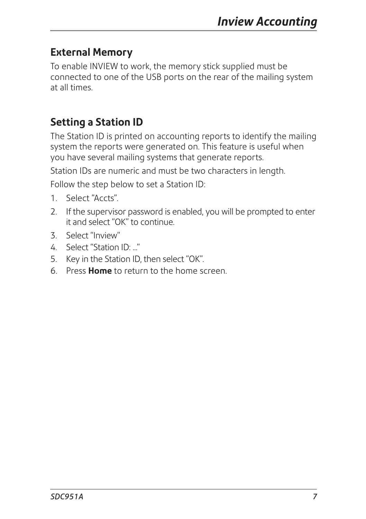# **External Memory**

To enable INVIEW to work, the memory stick supplied must be connected to one of the USB ports on the rear of the mailing system at all times.

# **Setting a Station ID**

The Station ID is printed on accounting reports to identify the mailing system the reports were generated on. This feature is useful when you have several mailing systems that generate reports.

Station IDs are numeric and must be two characters in length.

Follow the step below to set a Station ID:

- 1. Select "Accts".
- 2. If the supervisor password is enabled, you will be prompted to enter it and select "OK" to continue.
- 3. Select "Inview"
- 4. Select "Station ID: "
- 5. Key in the Station ID, then select "OK".
- 6. Press **Home** to return to the home screen.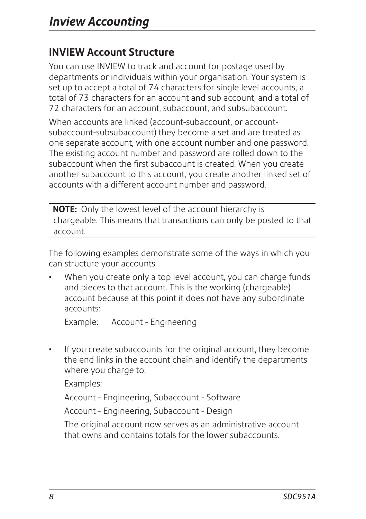# **INVIEW Account Structure**

You can use INVIEW to track and account for postage used by departments or individuals within your organisation. Your system is set up to accept a total of 74 characters for single level accounts, a total of 73 characters for an account and sub account, and a total of 72 characters for an account, subaccount, and subsubaccount.

When accounts are linked (account-subaccount, or accountsubaccount-subsubaccount) they become a set and are treated as one separate account, with one account number and one password. The existing account number and password are rolled down to the subaccount when the first subaccount is created. When you create another subaccount to this account, you create another linked set of accounts with a different account number and password.

**NOTE:** Only the lowest level of the account hierarchy is chargeable. This means that transactions can only be posted to that account.

The following examples demonstrate some of the ways in which you can structure your accounts.

When you create only a top level account, you can charge funds and pieces to that account. This is the working (chargeable) account because at this point it does not have any subordinate accounts:

Example: Account - Engineering

If you create subaccounts for the original account, they become the end links in the account chain and identify the departments where you charge to:

Examples:

Account - Engineering, Subaccount - Software

Account - Engineering, Subaccount - Design

The original account now serves as an administrative account that owns and contains totals for the lower subaccounts.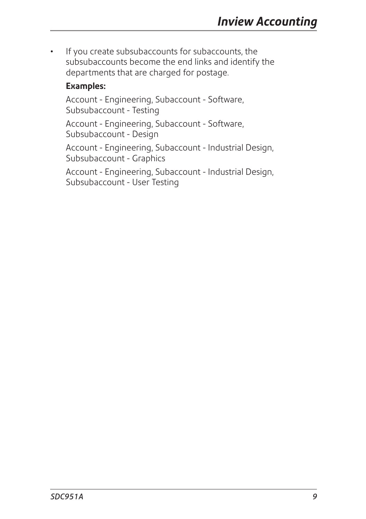• If you create subsubaccounts for subaccounts, the subsubaccounts become the end links and identify the departments that are charged for postage.

#### **Examples:**

Account - Engineering, Subaccount - Software, Subsubaccount - Testing

Account - Engineering, Subaccount - Software, Subsubaccount - Design

Account - Engineering, Subaccount - Industrial Design, Subsubaccount - Graphics

Account - Engineering, Subaccount - Industrial Design, Subsubaccount - User Testing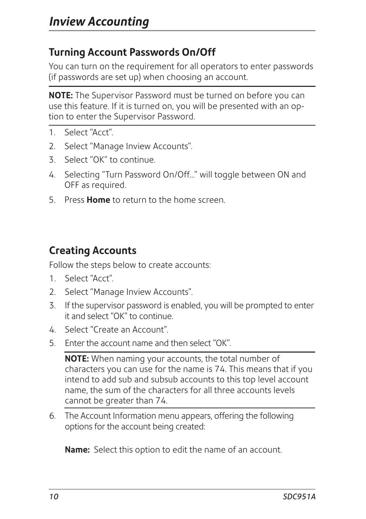# **Turning Account Passwords On/Off**

You can turn on the requirement for all operators to enter passwords (if passwords are set up) when choosing an account.

**NOTE:** The Supervisor Password must be turned on before you can use this feature. If it is turned on, you will be presented with an option to enter the Supervisor Password.

- 1. Select "Acct".
- 2. Select "Manage Inview Accounts".
- 3. Select "OK" to continue.
- 4. Selecting "Turn Password On/Off..." will toggle between ON and OFF as required.
- 5. Press **Home** to return to the home screen.

# **Creating Accounts**

Follow the steps below to create accounts:

- 1. Select "Acct".
- 2. Select "Manage Inview Accounts".
- 3. If the supervisor password is enabled, you will be prompted to enter it and select "OK" to continue.
- 4. Select "Create an Account".
- 5. Enter the account name and then select "OK".

**NOTE:** When naming your accounts, the total number of characters you can use for the name is 74. This means that if you intend to add sub and subsub accounts to this top level account name, the sum of the characters for all three accounts levels cannot be greater than 74.

6. The Account Information menu appears, offering the following options for the account being created:

**Name:** Select this option to edit the name of an account.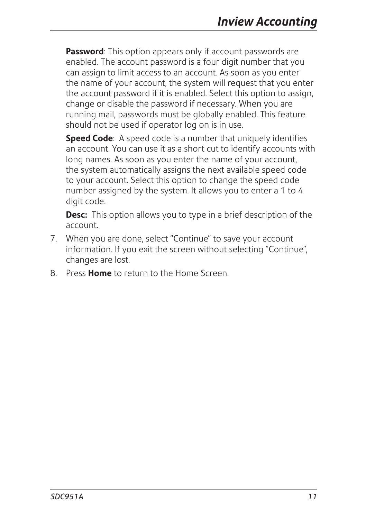**Password**: This option appears only if account passwords are enabled. The account password is a four digit number that you can assign to limit access to an account. As soon as you enter the name of your account, the system will request that you enter the account password if it is enabled. Select this option to assign, change or disable the password if necessary. When you are running mail, passwords must be globally enabled. This feature should not be used if operator log on is in use.

**Speed Code**: A speed code is a number that uniquely identifies an account. You can use it as a short cut to identify accounts with long names. As soon as you enter the name of your account, the system automatically assigns the next available speed code to your account. Select this option to change the speed code number assigned by the system. It allows you to enter a 1 to 4 digit code.

**Desc:** This option allows you to type in a brief description of the account.

- 7. When you are done, select "Continue" to save your account information. If you exit the screen without selecting "Continue", changes are lost.
- 8. Press **Home** to return to the Home Screen.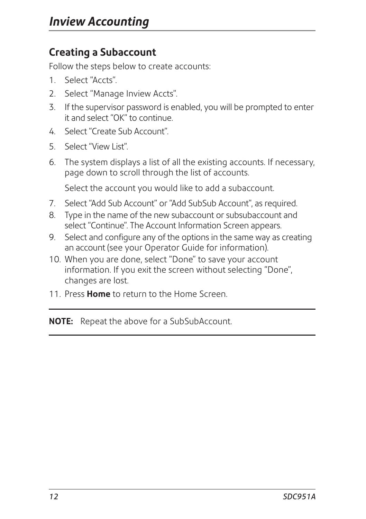# **Creating a Subaccount**

Follow the steps below to create accounts:

- 1. Select "Accts".
- 2. Select "Manage Inview Accts".
- 3. If the supervisor password is enabled, you will be prompted to enter it and select "OK" to continue.
- 4. Select "Create Sub Account".
- 5. Select "View List".
- 6. The system displays a list of all the existing accounts. If necessary, page down to scroll through the list of accounts.

Select the account you would like to add a subaccount.

- 7. Select "Add Sub Account" or "Add SubSub Account", as required.
- 8. Type in the name of the new subaccount or subsubaccount and select "Continue". The Account Information Screen appears.
- 9. Select and configure any of the options in the same way as creating an account (see your Operator Guide for information).
- 10. When you are done, select "Done" to save your account information. If you exit the screen without selecting "Done", changes are lost.
- 11. Press **Home** to return to the Home Screen.

**NOTE:** Repeat the above for a SubSubAccount.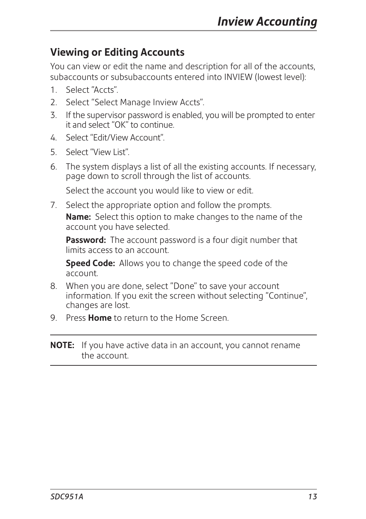# **Viewing or Editing Accounts**

You can view or edit the name and description for all of the accounts, subaccounts or subsubaccounts entered into INVIEW (lowest level):

- 1. Select "Accts".
- 2. Select "Select Manage Inview Accts".
- 3. If the supervisor password is enabled, you will be prompted to enter it and select "OK" to continue.
- 4. Select "Edit/View Account".
- 5. Select "View List".
- 6. The system displays a list of all the existing accounts. If necessary, page down to scroll through the list of accounts.

Select the account you would like to view or edit.

7. Select the appropriate option and follow the prompts. **Name:** Select this option to make changes to the name of the account you have selected.

**Password:** The account password is a four digit number that limits access to an account.

**Speed Code:** Allows you to change the speed code of the account.

- 8. When you are done, select "Done" to save your account information. If you exit the screen without selecting "Continue", changes are lost.
- 9. Press **Home** to return to the Home Screen.
- **NOTE:** If you have active data in an account, you cannot rename the account.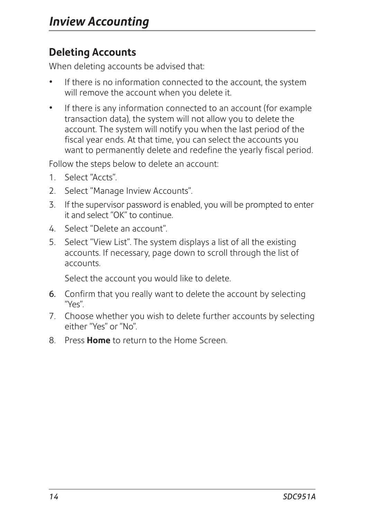# **Deleting Accounts**

When deleting accounts be advised that:

- If there is no information connected to the account, the system will remove the account when you delete it.
- If there is any information connected to an account (for example transaction data), the system will not allow you to delete the account. The system will notify you when the last period of the fiscal year ends. At that time, you can select the accounts you want to permanently delete and redefine the yearly fiscal period.

Follow the steps below to delete an account:

- 1. Select "Accts".
- 2. Select "Manage Inview Accounts".
- 3. If the supervisor password is enabled, you will be prompted to enter it and select "OK" to continue.
- 4. Select "Delete an account".
- 5. Select "View List". The system displays a list of all the existing accounts. If necessary, page down to scroll through the list of accounts.

Select the account you would like to delete.

- 6. Confirm that you really want to delete the account by selecting  $"Y \rho s"$ .
- 7. Choose whether you wish to delete further accounts by selecting either "Yes" or "No".
- 8. Press **Home** to return to the Home Screen.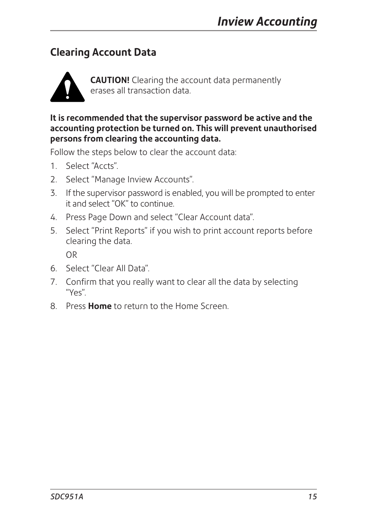# **Clearing Account Data**



**CAUTION!** Clearing the account data permanently erases all transaction data.

**It is recommended that the supervisor password be active and the accounting protection be turned on. This will prevent unauthorised persons from clearing the accounting data.**

Follow the steps below to clear the account data:

- 1. Select "Accts".
- 2. Select "Manage Inview Accounts".
- 3. If the supervisor password is enabled, you will be prompted to enter it and select "OK" to continue.
- 4. Press Page Down and select "Clear Account data".
- 5. Select "Print Reports" if you wish to print account reports before clearing the data.

OR

- 6. Select "Clear All Data".
- 7. Confirm that you really want to clear all the data by selecting "Yes".
- 8. Press **Home** to return to the Home Screen.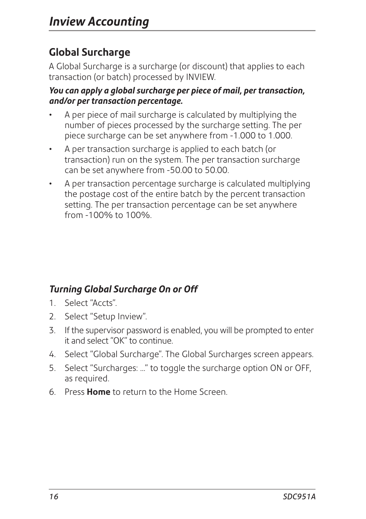# **Global Surcharge**

A Global Surcharge is a surcharge (or discount) that applies to each transaction (or batch) processed by INVIEW.

#### *You can apply a global surcharge per piece of mail, per transaction, and/or per transaction percentage.*

- A per piece of mail surcharge is calculated by multiplying the number of pieces processed by the surcharge setting. The per piece surcharge can be set anywhere from -1.000 to 1.000.
- A per transaction surcharge is applied to each batch (or transaction) run on the system. The per transaction surcharge can be set anywhere from -50.00 to 50.00.
- A per transaction percentage surcharge is calculated multiplying the postage cost of the entire batch by the percent transaction setting. The per transaction percentage can be set anywhere from -100% to 100%.

# *Turning Global Surcharge On or Off*

- 1. Select "Accts".
- 2. Select "Setup Inview".
- 3. If the supervisor password is enabled, you will be prompted to enter it and select "OK" to continue.
- 4. Select "Global Surcharge". The Global Surcharges screen appears.
- 5. Select "Surcharges: ..." to toggle the surcharge option ON or OFF, as required.
- 6. Press **Home** to return to the Home Screen.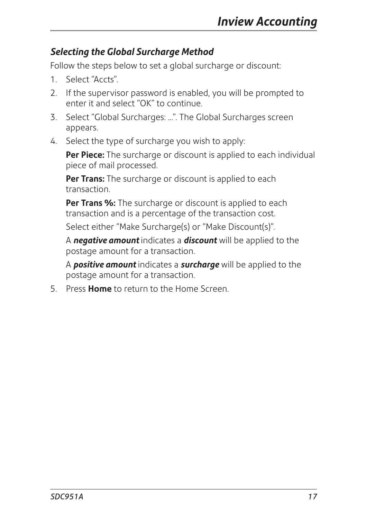### *Selecting the Global Surcharge Method*

Follow the steps below to set a global surcharge or discount:

- 1. Select "Accts".
- 2. If the supervisor password is enabled, you will be prompted to enter it and select "OK" to continue.
- 3. Select "Global Surcharges: ...". The Global Surcharges screen appears.
- 4. Select the type of surcharge you wish to apply:

**Per Piece:** The surcharge or discount is applied to each individual piece of mail processed.

Per Trans: The surcharge or discount is applied to each transaction.

**Per Trans %:** The surcharge or discount is applied to each transaction and is a percentage of the transaction cost.

Select either "Make Surcharge(s) or "Make Discount(s)".

A *negative amount* indicates a *discount* will be applied to the postage amount for a transaction.

A *positive amount* indicates a *surcharge* will be applied to the postage amount for a transaction.

5. Press **Home** to return to the Home Screen.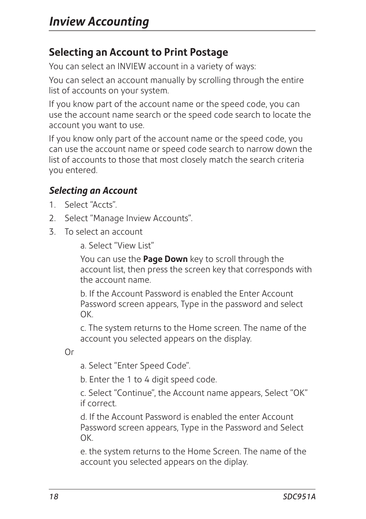# **Selecting an Account to Print Postage**

You can select an INVIEW account in a variety of ways:

You can select an account manually by scrolling through the entire list of accounts on your system.

If you know part of the account name or the speed code, you can use the account name search or the speed code search to locate the account you want to use.

If you know only part of the account name or the speed code, you can use the account name or speed code search to narrow down the list of accounts to those that most closely match the search criteria you entered.

# *Selecting an Account*

- 1. Select "Accts".
- 2. Select "Manage Inview Accounts".
- 3. To select an account

a. Select "View List"

 You can use the **Page Down** key to scroll through the account list, then press the screen key that corresponds with the account name.

 b. If the Account Password is enabled the Enter Account Password screen appears, Type in the password and select OK.

 c. The system returns to the Home screen. The name of the account you selected appears on the display.

Or

a. Select "Enter Speed Code".

b. Enter the 1 to 4 digit speed code.

 c. Select "Continue", the Account name appears, Select "OK" if correct.

 d. If the Account Password is enabled the enter Account Password screen appears, Type in the Password and Select OK.

 e. the system returns to the Home Screen. The name of the account you selected appears on the diplay.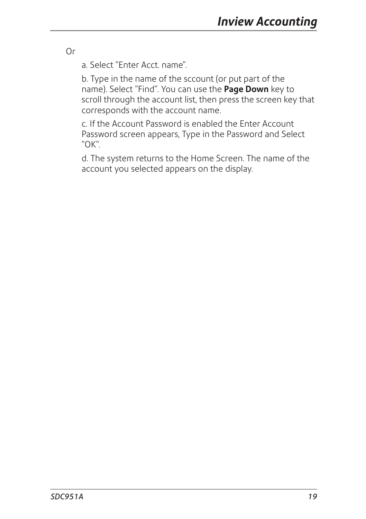Or

a. Select "Enter Acct. name".

 b. Type in the name of the sccount (or put part of the name). Select "Find". You can use the **Page Down** key to scroll through the account list, then press the screen key that corresponds with the account name.

 c. If the Account Password is enabled the Enter Account Password screen appears, Type in the Password and Select "OK".

 d. The system returns to the Home Screen. The name of the account you selected appears on the display.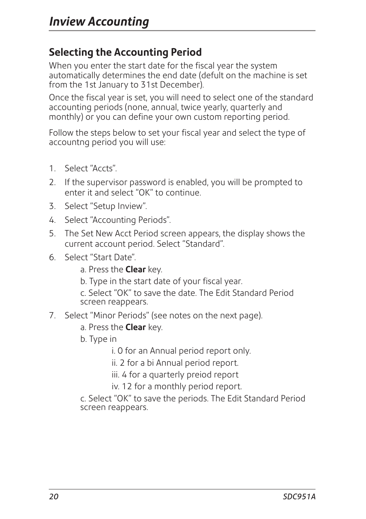# **Selecting the Accounting Period**

When you enter the start date for the fiscal year the system automatically determines the end date (defult on the machine is set from the 1st January to 31st December).

Once the fiscal year is set, you will need to select one of the standard accounting periods (none, annual, twice yearly, quarterly and monthly) or you can define your own custom reporting period.

Follow the steps below to set your fiscal year and select the type of accountng period you will use:

- 1. Select "Accts".
- 2. If the supervisor password is enabled, you will be prompted to enter it and select "OK" to continue.
- 3. Select "Setup Inview".
- 4. Select "Accounting Periods".
- 5. The Set New Acct Period screen appears, the display shows the current account period. Select "Standard".
- 6. Select "Start Date".
	- a. Press the **Clear** key.
	- b. Type in the start date of your fiscal year.
	- c. Select "OK" to save the date. The Edit Standard Period screen reappears.
- 7. Select "Minor Periods" (see notes on the next page).
	- a. Press the **Clear** key.
	- b. Type in
		- i. 0 for an Annual period report only.
		- ii. 2 for a bi Annual period report.
		- iii. 4 for a quarterly preiod report
		- iv. 12 for a monthly period report.
	- c. Select "OK" to save the periods. The Edit Standard Period screen reappears.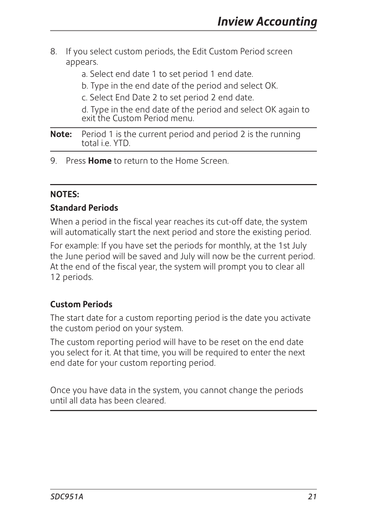- 8. If you select custom periods, the Edit Custom Period screen appears.
	- a. Select end date 1 to set period 1 end date.
	- b. Type in the end date of the period and select OK.
	- c. Select End Date 2 to set period 2 end date.

d. Type in the end date of the period and select OK again to exit the Custom Period menu.

#### **Note:** Period 1 is the current period and period 2 is the running total i.e. YTD.

9. Press **Home** to return to the Home Screen.

#### **NOTES:**

#### **Standard Periods**

When a period in the fiscal year reaches its cut-off date, the system will automatically start the next period and store the existing period.

For example: If you have set the periods for monthly, at the 1st July the June period will be saved and July will now be the current period. At the end of the fiscal year, the system will prompt you to clear all 12 periods.

#### **Custom Periods**

The start date for a custom reporting period is the date you activate the custom period on your system.

The custom reporting period will have to be reset on the end date you select for it. At that time, you will be required to enter the next end date for your custom reporting period.

Once you have data in the system, you cannot change the periods until all data has been cleared.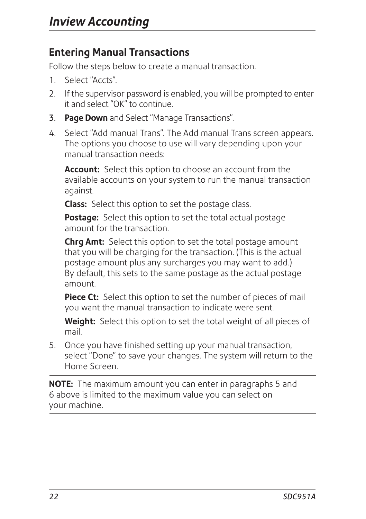# **Entering Manual Transactions**

Follow the steps below to create a manual transaction.

- 1. Select "Accts".
- 2. If the supervisor password is enabled, you will be prompted to enter it and select "OK" to continue.
- 3. **Page Down** and Select "Manage Transactions".
- 4. Select "Add manual Trans". The Add manual Trans screen appears. The options you choose to use will vary depending upon your manual transaction needs:

**Account:** Select this option to choose an account from the available accounts on your system to run the manual transaction against.

**Class:** Select this option to set the postage class.

**Postage:** Select this option to set the total actual postage amount for the transaction.

**Chrg Amt:** Select this option to set the total postage amount that you will be charging for the transaction. (This is the actual postage amount plus any surcharges you may want to add.) By default, this sets to the same postage as the actual postage amount.

Piece Ct: Select this option to set the number of pieces of mail you want the manual transaction to indicate were sent.

**Weight:** Select this option to set the total weight of all pieces of mail.

5. Once you have finished setting up your manual transaction, select "Done" to save your changes. The system will return to the Home Screen.

**NOTE:** The maximum amount you can enter in paragraphs 5 and 6 above is limited to the maximum value you can select on your machine.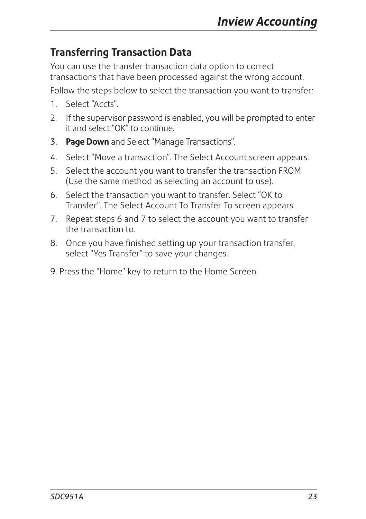# **Transferring Transaction Data**

You can use the transfer transaction data option to correct transactions that have been processed against the wrong account.

Follow the steps below to select the transaction you want to transfer:

- 1. Select "Accts".
- 2. If the supervisor password is enabled, you will be prompted to enter it and select "OK" to continue.
- 3. **Page Down** and Select "Manage Transactions".
- 4. Select "Move a transaction". The Select Account screen appears.
- 5. Select the account you want to transfer the transaction FROM (Use the same method as selecting an account to use).
- 6. Select the transaction you want to transfer. Select "OK to Transfer". The Select Account To Transfer To screen appears.
- 7. Repeat steps 6 and 7 to select the account you want to transfer the transaction to.
- 8. Once you have finished setting up your transaction transfer, select "Yes Transfer" to save your changes.
- 9. Press the "Home" key to return to the Home Screen.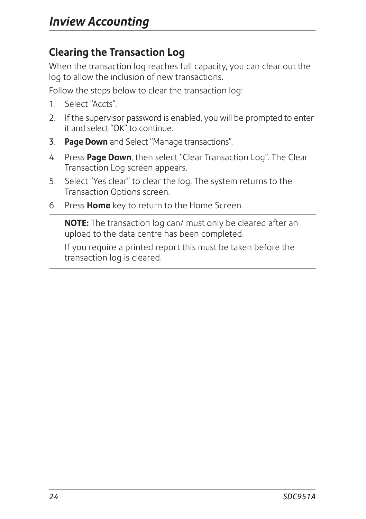# **Clearing the Transaction Log**

When the transaction log reaches full capacity, you can clear out the log to allow the inclusion of new transactions.

Follow the steps below to clear the transaction log:

- 1. Select "Accts".
- 2. If the supervisor password is enabled, you will be prompted to enter it and select "OK" to continue.
- 3. **Page Down** and Select "Manage transactions".
- 4. Press **Page Down**, then select "Clear Transaction Log". The Clear Transaction Log screen appears.
- 5. Select "Yes clear" to clear the log. The system returns to the Transaction Options screen.
- 6. Press **Home** key to return to the Home Screen.

**NOTE:** The transaction log can/ must only be cleared after an upload to the data centre has been completed.

If you require a printed report this must be taken before the transaction log is cleared.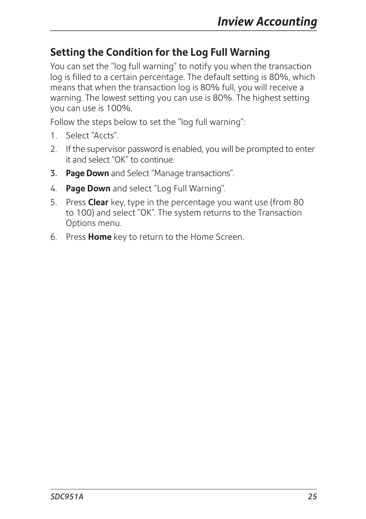# **Setting the Condition for the Log Full Warning**

You can set the "log full warning" to notify you when the transaction log is filled to a certain percentage. The default setting is 80%, which means that when the transaction log is 80% full, you will receive a warning. The lowest setting you can use is 80%. The highest setting you can use is 100%.

Follow the steps below to set the "log full warning":

- 1. Select "Accts".
- 2. If the supervisor password is enabled, you will be prompted to enter it and select "OK" to continue.
- 3. **Page Down** and Select "Manage transactions".
- 4. **Page Down** and select "Log Full Warning".
- 5. Press **Clear** key, type in the percentage you want use (from 80 to 100) and select "OK". The system returns to the Transaction Options menu.
- 6. Press **Home** key to return to the Home Screen.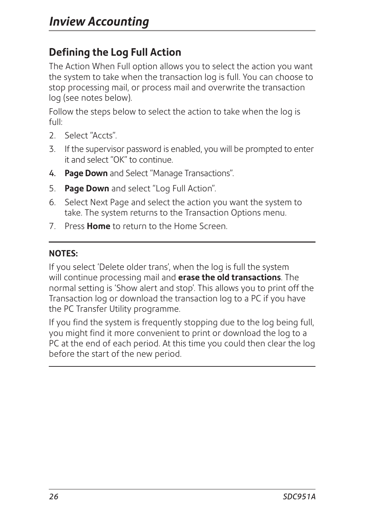# **Defining the Log Full Action**

The Action When Full option allows you to select the action you want the system to take when the transaction log is full. You can choose to stop processing mail, or process mail and overwrite the transaction log (see notes below).

Follow the steps below to select the action to take when the log is full:

- 2. Select "Accts".
- 3. If the supervisor password is enabled, you will be prompted to enter it and select "OK" to continue.
- 4. **Page Down** and Select "Manage Transactions".
- 5. **Page Down** and select "Log Full Action".
- 6. Select Next Page and select the action you want the system to take. The system returns to the Transaction Options menu.
- 7. Press **Home** to return to the Home Screen.

#### **NOTES:**

If you select 'Delete older trans', when the log is full the system will continue processing mail and **erase the old transactions**. The normal setting is 'Show alert and stop'. This allows you to print off the Transaction log or download the transaction log to a PC if you have the PC Transfer Utility programme.

If you find the system is frequently stopping due to the log being full, you might find it more convenient to print or download the log to a PC at the end of each period. At this time you could then clear the log before the start of the new period.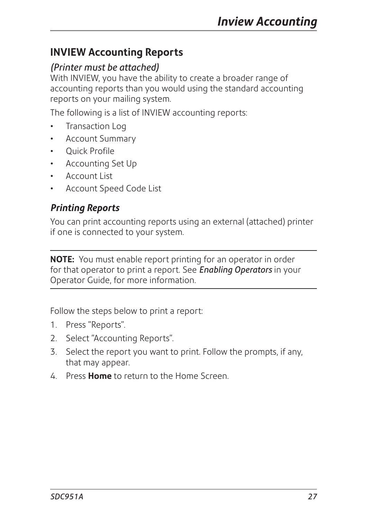# **INVIEW Accounting Reports**

### *(Printer must be attached)*

With INVIEW, you have the ability to create a broader range of accounting reports than you would using the standard accounting reports on your mailing system.

The following is a list of INVIEW accounting reports:

- Transaction Log
- Account Summary
- Quick Profile
- Accounting Set Up
- Account List
- Account Speed Code List

### *Printing Reports*

You can print accounting reports using an external (attached) printer if one is connected to your system.

**NOTE:** You must enable report printing for an operator in order for that operator to print a report. See *Enabling Operators* in your Operator Guide, for more information.

Follow the steps below to print a report:

- 1. Press "Reports".
- 2. Select "Accounting Reports".
- 3. Select the report you want to print. Follow the prompts, if any, that may appear.
- 4. Press **Home** to return to the Home Screen.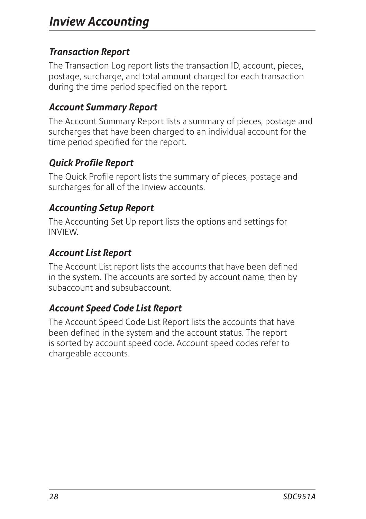### *Transaction Report*

The Transaction Log report lists the transaction ID, account, pieces, postage, surcharge, and total amount charged for each transaction during the time period specified on the report.

### *Account Summary Report*

The Account Summary Report lists a summary of pieces, postage and surcharges that have been charged to an individual account for the time period specified for the report.

### *Quick Profile Report*

The Quick Profile report lists the summary of pieces, postage and surcharges for all of the Inview accounts.

### *Accounting Setup Report*

The Accounting Set Up report lists the options and settings for INVIEW.

### *Account List Report*

The Account List report lists the accounts that have been defined in the system. The accounts are sorted by account name, then by subaccount and subsubaccount.

# *Account Speed Code List Report*

The Account Speed Code List Report lists the accounts that have been defined in the system and the account status. The report is sorted by account speed code. Account speed codes refer to chargeable accounts.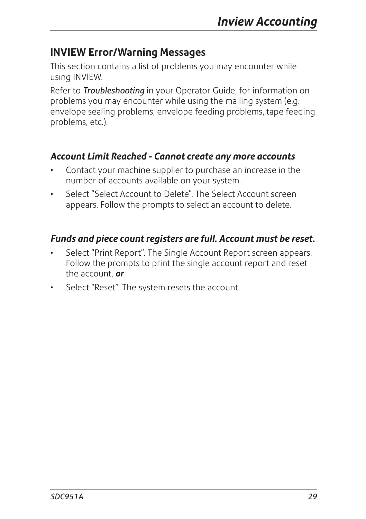# **INVIEW Error/Warning Messages**

This section contains a list of problems you may encounter while using INVIEW.

Refer to *Troubleshooting* in your Operator Guide, for information on problems you may encounter while using the mailing system (e.g. envelope sealing problems, envelope feeding problems, tape feeding problems, etc.).

### *Account Limit Reached - Cannot create any more accounts*

- Contact your machine supplier to purchase an increase in the number of accounts available on your system.
- Select "Select Account to Delete". The Select Account screen appears. Follow the prompts to select an account to delete.

### *Funds and piece count registers are full. Account must be reset.*

- Select "Print Report". The Single Account Report screen appears. Follow the prompts to print the single account report and reset the account, *or*
- Select "Reset". The system resets the account.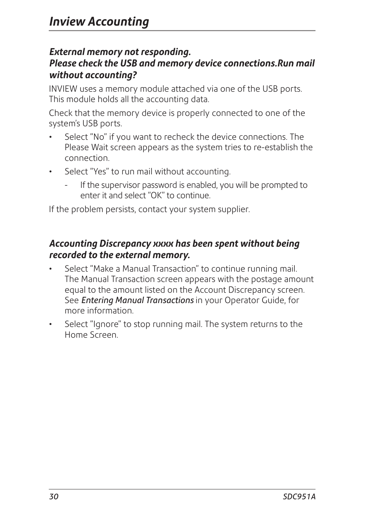#### *External memory not responding. Please check the USB and memory device connections.Run mail without accounting?*

INVIEW uses a memory module attached via one of the USB ports. This module holds all the accounting data.

Check that the memory device is properly connected to one of the system's USB ports.

- Select "No" if you want to recheck the device connections. The Please Wait screen appears as the system tries to re-establish the connection.
- Select "Yes" to run mail without accounting.
	- If the supervisor password is enabled, you will be prompted to enter it and select "OK" to continue.

If the problem persists, contact your system supplier.

### *Accounting Discrepancy xxxx has been spent without being recorded to the external memory.*

- Select "Make a Manual Transaction" to continue running mail. The Manual Transaction screen appears with the postage amount equal to the amount listed on the Account Discrepancy screen. See *Entering Manual Transactions* in your Operator Guide, for more information.
- Select "Ignore" to stop running mail. The system returns to the Home Screen.